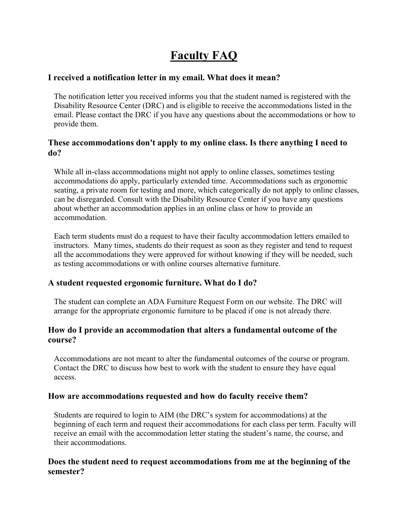# **Faculty FAQ**

#### **I received a notification letter in my email. What does it mean?**

The notification letter you received informs you that the student named is registered with the Disability Resource Center (DRC) and is eligible to receive the accommodations listed in the email. Please contact the DRC if you have any questions about the accommodations or how to provide them.

## **These accommodations don't apply to my online class. Is there anything I need to do?**

While all in-class accommodations might not apply to online classes, sometimes testing accommodations do apply, particularly extended time. Accommodations such as ergonomic seating, a private room for testing and more, which categorically do not apply to online classes, can be disregarded. Consult with the Disability Resource Center if you have any questions about whether an accommodation applies in an online class or how to provide an accommodation.

Each term students must do a request to have their faculty accommodation letters emailed to instructors. Many times, students do their request as soon as they register and tend to request all the accommodations they were approved for without knowing if they will be needed, such as testing accommodations or with online courses alternative furniture.

# **A student requested ergonomic furniture. What do I do?**

The student can complete an ADA Furniture Request Form on our website. The DRC will arrange for the appropriate ergonomic furniture to be placed if one is not already there.

## **How do I provide an accommodation that alters a fundamental outcome of the course?**

Accommodations are not meant to alter the fundamental outcomes of the course or program. Contact the DRC to discuss how best to work with the student to ensure they have equal access.

#### **How are accommodations requested and how do faculty receive them?**

Students are required to login to AIM (the DRC's system for accommodations) at the beginning of each term and request their accommodations for each class per term. Faculty will receive an email with the accommodation letter stating the student's name, the course, and their accommodations.

## **Does the student need to request accommodations from me at the beginning of the semester?**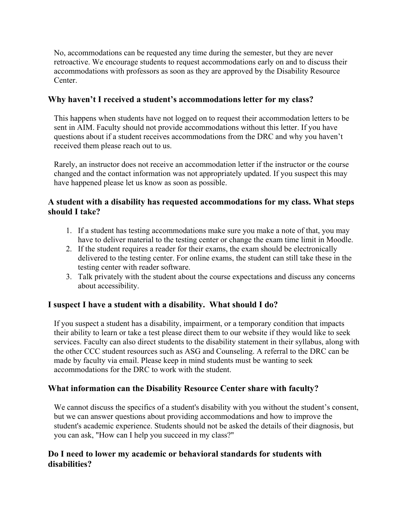No, accommodations can be requested any time during the semester, but they are never retroactive. We encourage students to request accommodations early on and to discuss their accommodations with professors as soon as they are approved by the Disability Resource Center.

## **Why haven't I received a student's accommodations letter for my class?**

This happens when students have not logged on to request their accommodation letters to be sent in AIM. Faculty should not provide accommodations without this letter. If you have questions about if a student receives accommodations from the DRC and why you haven't received them please reach out to us.

Rarely, an instructor does not receive an accommodation letter if the instructor or the course changed and the contact information was not appropriately updated. If you suspect this may have happened please let us know as soon as possible.

## **A student with a disability has requested accommodations for my class. What steps should I take?**

- 1. If a student has testing accommodations make sure you make a note of that, you may have to deliver material to the testing center or change the exam time limit in Moodle.
- 2. If the student requires a reader for their exams, the exam should be electronically delivered to the testing center. For online exams, the student can still take these in the testing center with reader software.
- 3. Talk privately with the student about the course expectations and discuss any concerns about accessibility.

# **I suspect I have a student with a disability. What should I do?**

If you suspect a student has a disability, impairment, or a temporary condition that impacts their ability to learn or take a test please direct them to our website if they would like to seek services. Faculty can also direct students to the disability statement in their syllabus, along with the other CCC student resources such as ASG and Counseling. A referral to the DRC can be made by faculty via email. Please keep in mind students must be wanting to seek accommodations for the DRC to work with the student.

#### **What information can the Disability Resource Center share with faculty?**

We cannot discuss the specifics of a student's disability with you without the student's consent, but we can answer questions about providing accommodations and how to improve the student's academic experience. Students should not be asked the details of their diagnosis, but you can ask, "How can I help you succeed in my class?"

#### **Do I need to lower my academic or behavioral standards for students with disabilities?**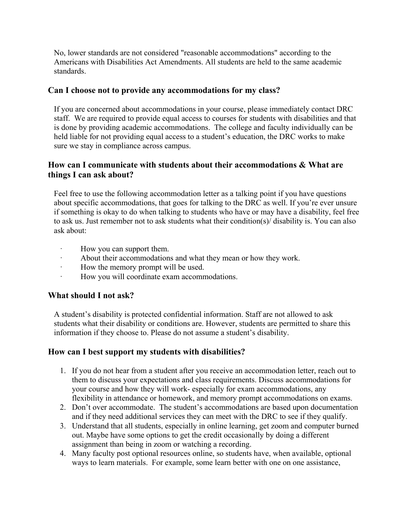No, lower standards are not considered "reasonable accommodations" according to the Americans with Disabilities Act Amendments. All students are held to the same academic standards.

## **Can I choose not to provide any accommodations for my class?**

If you are concerned about accommodations in your course, please immediately contact DRC staff. We are required to provide equal access to courses for students with disabilities and that is done by providing academic accommodations. The college and faculty individually can be held liable for not providing equal access to a student's education, the DRC works to make sure we stay in compliance across campus.

## **How can I communicate with students about their accommodations & What are things I can ask about?**

Feel free to use the following accommodation letter as a talking point if you have questions about specific accommodations, that goes for talking to the DRC as well. If you're ever unsure if something is okay to do when talking to students who have or may have a disability, feel free to ask us. Just remember not to ask students what their condition(s)/ disability is. You can also ask about:

- How you can support them.
- · About their accommodations and what they mean or how they work.
- · How the memory prompt will be used.
- · How you will coordinate exam accommodations.

# **What should I not ask?**

A student's disability is protected confidential information. Staff are not allowed to ask students what their disability or conditions are. However, students are permitted to share this information if they choose to. Please do not assume a student's disability.

# **How can I best support my students with disabilities?**

- 1. If you do not hear from a student after you receive an accommodation letter, reach out to them to discuss your expectations and class requirements. Discuss accommodations for your course and how they will work- especially for exam accommodations, any flexibility in attendance or homework, and memory prompt accommodations on exams.
- 2. Don't over accommodate. The student's accommodations are based upon documentation and if they need additional services they can meet with the DRC to see if they qualify.
- 3. Understand that all students, especially in online learning, get zoom and computer burned out. Maybe have some options to get the credit occasionally by doing a different assignment than being in zoom or watching a recording.
- 4. Many faculty post optional resources online, so students have, when available, optional ways to learn materials. For example, some learn better with one on one assistance,